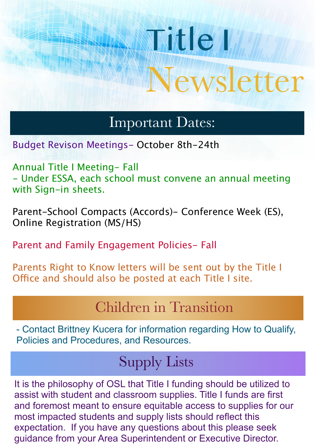# Title I Newsletter

## Important Dates:

Budget Revison Meetings- October 8th-24th

Annual Title I Meeting- Fall - Under ESSA, each school must convene an annual meeting with Sign-in sheets.

Parent-School Compacts (Accords)- Conference Week (ES), Online Registration (MS/HS)

Parent and Family Engagement Policies- Fall

Parents Right to Know letters will be sent out by the Title I Office and should also be posted at each Title I site.

## Children in Transition

- Contact Brittney Kucera for information regarding How to Qualify, Policies and Procedures, and Resources.

## Supply Lists

It is the philosophy of OSL that Title I funding should be utilized to assist with student and classroom supplies. Title I funds are first and foremost meant to ensure equitable access to supplies for our most impacted students and supply lists should reflect this expectation. If you have any questions about this please seek guidance from your Area Superintendent or Executive Director.